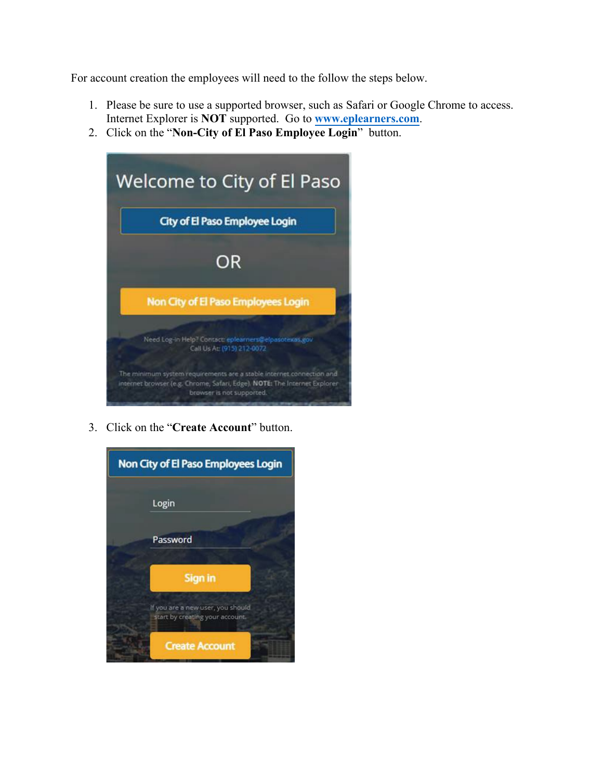For account creation the employees will need to the follow the steps below.

- 1. Please be sure to use a supported browser, such as Safari or Google Chrome to access. Internet Explorer is **NOT** supported. Go to **[www.eplearners.com](https://gcc02.safelinks.protection.outlook.com/?url=http%3A%2F%2Fwww.eplearners.com%2F&data=05%7C01%7CLunaA%40elpasotexas.gov%7C3293dc01318740c73e7408da3365e3aa%7C66a8dcf9ed754a6f88e0510df9bdf2a9%7C1%7C0%7C637878809976735948%7CUnknown%7CTWFpbGZsb3d8eyJWIjoiMC4wLjAwMDAiLCJQIjoiV2luMzIiLCJBTiI6Ik1haWwiLCJXVCI6Mn0%3D%7C3000%7C%7C%7C&sdata=ovWLG%2FjD28em86GSvlc957tLdthJUg0saNsKCNbLoUY%3D&reserved=0)**.
- 2. Click on the "**Non-City of El Paso Employee Login**" button.



3. Click on the "**Create Account**" button.

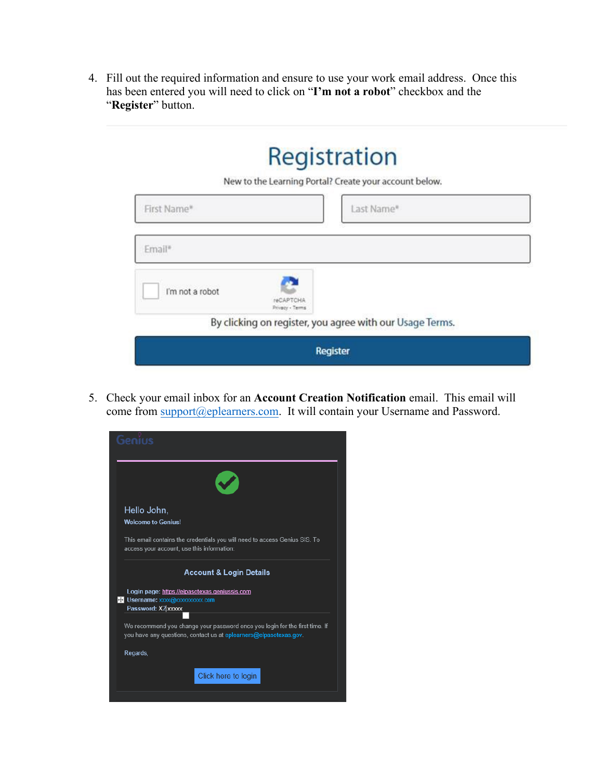4. Fill out the required information and ensure to use your work email address. Once this has been entered you will need to click on "**I'm not a robot**" checkbox and the "**Register**" button.

## Registration

New to the Learning Portal? Create your account below.

| First Name*     |                                     | Last Name*                                               |  |
|-----------------|-------------------------------------|----------------------------------------------------------|--|
| Email*          |                                     |                                                          |  |
| I'm not a robot | <b>reCAPTCHA</b><br>Privacy - Terms |                                                          |  |
|                 |                                     | By clicking on register, you agree with our Usage Terms. |  |
|                 |                                     | Register                                                 |  |

5. Check your email inbox for an **Account Creation Notification** email. This email will come from [support@eplearners](mailto:cityelpaso@geniussis.com).com. It will contain your Username and Password.

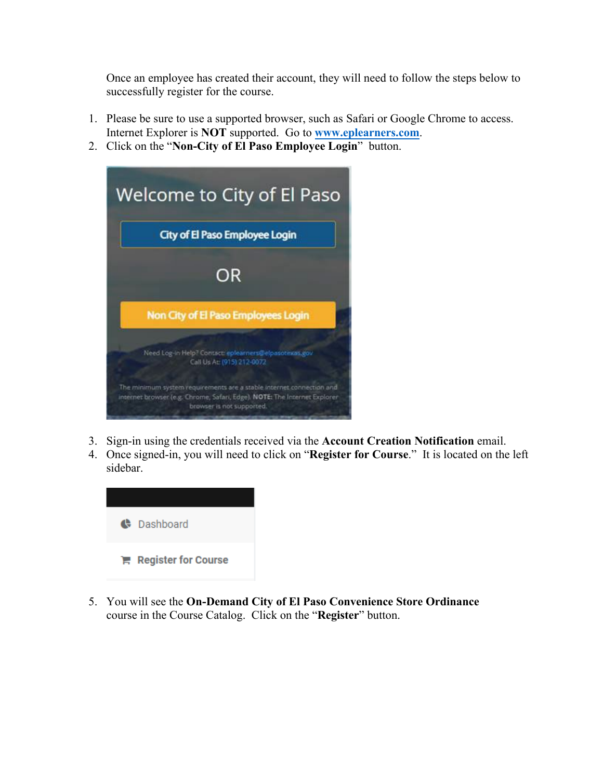Once an employee has created their account, they will need to follow the steps below to successfully register for the course.

- 1. Please be sure to use a supported browser, such as Safari or Google Chrome to access. Internet Explorer is **NOT** supported. Go to **[www.eplearners.com](https://gcc02.safelinks.protection.outlook.com/?url=http%3A%2F%2Fwww.eplearners.com%2F&data=05%7C01%7CLunaA%40elpasotexas.gov%7C3293dc01318740c73e7408da3365e3aa%7C66a8dcf9ed754a6f88e0510df9bdf2a9%7C1%7C0%7C637878809976735948%7CUnknown%7CTWFpbGZsb3d8eyJWIjoiMC4wLjAwMDAiLCJQIjoiV2luMzIiLCJBTiI6Ik1haWwiLCJXVCI6Mn0%3D%7C3000%7C%7C%7C&sdata=ovWLG%2FjD28em86GSvlc957tLdthJUg0saNsKCNbLoUY%3D&reserved=0)**.
- 2. Click on the "**Non-City of El Paso Employee Login**" button.



- 3. Sign-in using the credentials received via the **Account Creation Notification** email.
- 4. Once signed-in, you will need to click on "**Register for Course**." It is located on the left sidebar.



5. You will see the **On-Demand City of El Paso Convenience Store Ordinance** course in the Course Catalog. Click on the "**Register**" button.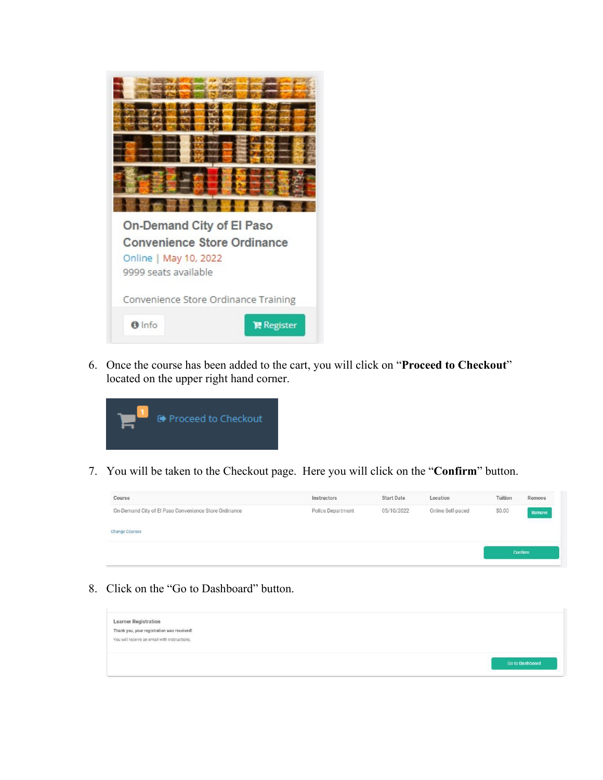

6. Once the course has been added to the cart, you will click on "**Proceed to Checkout**" located on the upper right hand corner.



7. You will be taken to the Checkout page. Here you will click on the "**Confirm**" button.

| Course                                                | Instructors       | <b>Start Date</b> | Location          | Tuition | Remove  |
|-------------------------------------------------------|-------------------|-------------------|-------------------|---------|---------|
| On-Demand City of El Paso Convenience Store Ordinance | Police Department | 05/10/2022        | Online Self-paced | \$0.00  | Remove  |
| <b>Change Courses</b>                                 |                   |                   |                   |         |         |
|                                                       |                   |                   |                   |         |         |
|                                                       |                   |                   |                   |         | Confirm |

8. Click on the "Go to Dashboard" button.